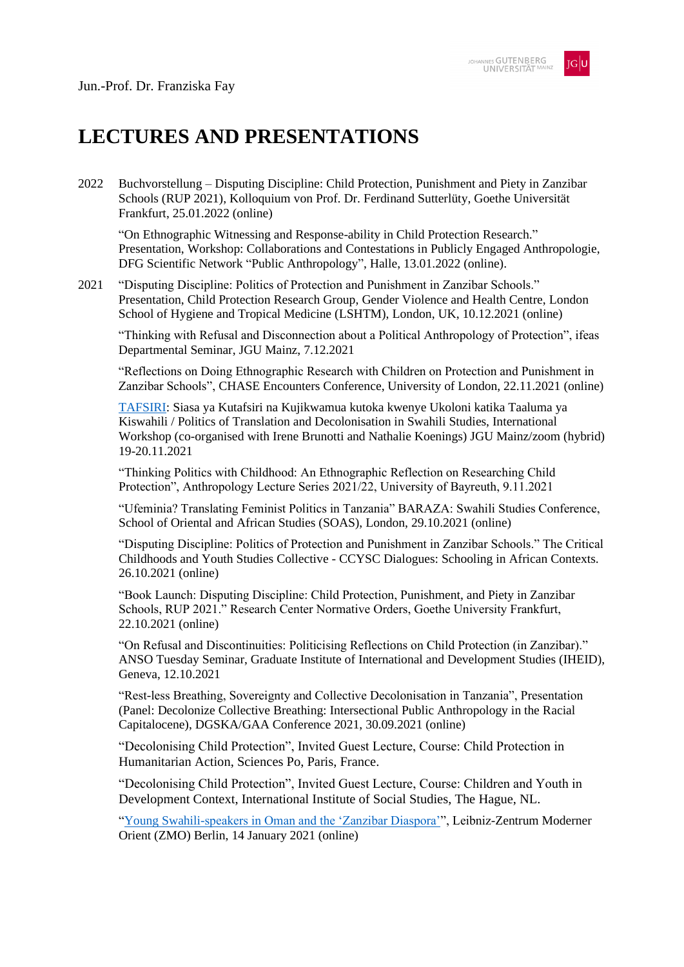

## **LECTURES AND PRESENTATIONS**

2022 Buchvorstellung – Disputing Discipline: Child Protection, Punishment and Piety in Zanzibar Schools (RUP 2021), Kolloquium von Prof. Dr. Ferdinand Sutterlüty, Goethe Universität Frankfurt, 25.01.2022 (online)

"On Ethnographic Witnessing and Response-ability in Child Protection Research." Presentation, Workshop: Collaborations and Contestations in Publicly Engaged Anthropologie, DFG Scientific Network "Public Anthropology", Halle, 13.01.2022 (online).

2021 "Disputing Discipline: Politics of Protection and Punishment in Zanzibar Schools." Presentation, Child Protection Research Group, Gender Violence and Health Centre, London School of Hygiene and Tropical Medicine (LSHTM), London, UK, 10.12.2021 (online)

"Thinking with Refusal and Disconnection about a Political Anthropology of Protection", ifeas Departmental Seminar, JGU Mainz, 7.12.2021

"Reflections on Doing Ethnographic Research with Children on Protection and Punishment in Zanzibar Schools", CHASE Encounters Conference, University of London, 22.11.2021 (online)

[TAFSIRI:](https://www.ifeas.uni-mainz.de/files/2021/10/Tafsiri-Programme.pdf) Siasa ya Kutafsiri na Kujikwamua kutoka kwenye Ukoloni katika Taaluma ya Kiswahili / Politics of Translation and Decolonisation in Swahili Studies, International Workshop (co-organised with Irene Brunotti and Nathalie Koenings) JGU Mainz/zoom (hybrid) 19-20.11.2021

"Thinking Politics with Childhood: An Ethnographic Reflection on Researching Child Protection", Anthropology Lecture Series 2021/22, University of Bayreuth, 9.11.2021

"Ufeminia? Translating Feminist Politics in Tanzania" BARAZA: Swahili Studies Conference, School of Oriental and African Studies (SOAS), London, 29.10.2021 (online)

"Disputing Discipline: Politics of Protection and Punishment in Zanzibar Schools." The Critical Childhoods and Youth Studies Collective - CCYSC Dialogues: Schooling in African Contexts. 26.10.2021 (online)

"Book Launch: Disputing Discipline: Child Protection, Punishment, and Piety in Zanzibar Schools, RUP 2021." Research Center Normative Orders, Goethe University Frankfurt, 22.10.2021 (online)

"On Refusal and Discontinuities: Politicising Reflections on Child Protection (in Zanzibar)." ANSO Tuesday Seminar, Graduate Institute of International and Development Studies (IHEID), Geneva, 12.10.2021

"Rest-less Breathing, Sovereignty and Collective Decolonisation in Tanzania", Presentation (Panel: Decolonize Collective Breathing: Intersectional Public Anthropology in the Racial Capitalocene), DGSKA/GAA Conference 2021, 30.09.2021 (online)

"Decolonising Child Protection", Invited Guest Lecture, Course: Child Protection in Humanitarian Action, Sciences Po, Paris, France.

"Decolonising Child Protection", Invited Guest Lecture, Course: Children and Youth in Development Context, International Institute of Social Studies, The Hague, NL.

["Young Swahili-speakers in Oman and the 'Zanzibar Diaspora'"](https://www.youtube.com/watch?v=uJOkcGdgtDk), Leibniz-Zentrum Moderner Orient (ZMO) Berlin, 14 January 2021 (online)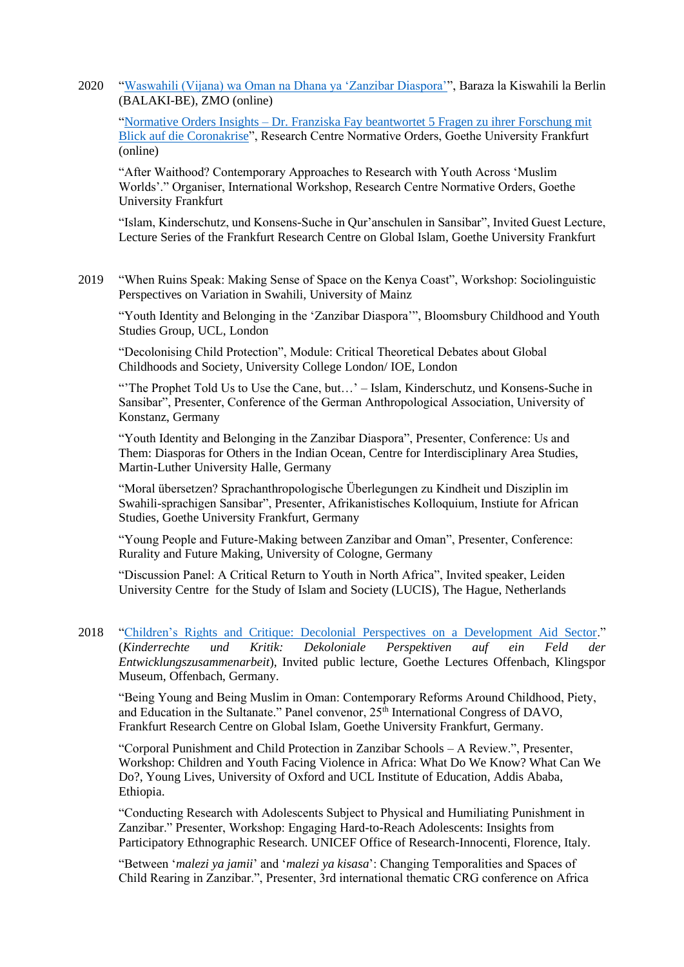2020 ["Waswahili \(Vijana\) wa Oman na Dhana ya 'Zanzibar Diaspora'"](https://www.youtube.com/watch?v=EXNpXkjZBnI&feature=emb_title), Baraza la Kiswahili la Berlin (BALAKI-BE), ZMO (online)

"Normative Orders Insights – [Dr. Franziska Fay beantwortet 5 Fragen zu ihrer Forschung mit](https://youtu.be/eHq4TAvw93o)  [Blick auf die Coronakrise"](https://youtu.be/eHq4TAvw93o), Research Centre Normative Orders, Goethe University Frankfurt (online)

"After Waithood? Contemporary Approaches to Research with Youth Across 'Muslim Worlds'." Organiser, International Workshop, Research Centre Normative Orders, Goethe University Frankfurt

"Islam, Kinderschutz, und Konsens-Suche in Qur'anschulen in Sansibar", Invited Guest Lecture, Lecture Series of the Frankfurt Research Centre on Global Islam, Goethe University Frankfurt

2019 "When Ruins Speak: Making Sense of Space on the Kenya Coast", Workshop: Sociolinguistic Perspectives on Variation in Swahili, University of Mainz

"Youth Identity and Belonging in the 'Zanzibar Diaspora'", Bloomsbury Childhood and Youth Studies Group, UCL, London

"Decolonising Child Protection", Module: Critical Theoretical Debates about Global Childhoods and Society, University College London/ IOE, London

"The Prophet Told Us to Use the Cane, but...' – Islam, Kinderschutz, und Konsens-Suche in Sansibar", Presenter, Conference of the German Anthropological Association, University of Konstanz, Germany

"Youth Identity and Belonging in the Zanzibar Diaspora", Presenter, Conference: Us and Them: Diasporas for Others in the Indian Ocean, Centre for Interdisciplinary Area Studies, Martin-Luther University Halle, Germany

"Moral übersetzen? Sprachanthropologische Überlegungen zu Kindheit und Disziplin im Swahili-sprachigen Sansibar", Presenter, Afrikanistisches Kolloquium, Instiute for African Studies, Goethe University Frankfurt, Germany

"Young People and Future-Making between Zanzibar and Oman", Presenter, Conference: Rurality and Future Making, University of Cologne, Germany

"Discussion Panel: A Critical Return to Youth in North Africa", Invited speaker, Leiden University Centre for the Study of Islam and Society (LUCIS), The Hague, Netherlands

2018 ["Children's Rights and Critique: Decolonial Perspectives on a Development Aid Sector.](https://www.youtube.com/watch?v=IWPFo_kpnBw)" (*Kinderrechte und Kritik: Dekoloniale Perspektiven auf ein Feld der Entwicklungszusammenarbeit*), Invited public lecture, Goethe Lectures Offenbach, Klingspor Museum, Offenbach, Germany.

"Being Young and Being Muslim in Oman: Contemporary Reforms Around Childhood, Piety, and Education in the Sultanate." Panel convenor,  $25<sup>th</sup>$  International Congress of DAVO, Frankfurt Research Centre on Global Islam, Goethe University Frankfurt, Germany.

"Corporal Punishment and Child Protection in Zanzibar Schools – A Review.", Presenter, Workshop: Children and Youth Facing Violence in Africa: What Do We Know? What Can We Do?, Young Lives, University of Oxford and UCL Institute of Education, Addis Ababa, Ethiopia.

"Conducting Research with Adolescents Subject to Physical and Humiliating Punishment in Zanzibar." Presenter, Workshop: Engaging Hard-to-Reach Adolescents: Insights from Participatory Ethnographic Research. UNICEF Office of Research-Innocenti, Florence, Italy.

"Between '*malezi ya jamii*' and '*malezi ya kisasa*': Changing Temporalities and Spaces of Child Rearing in Zanzibar.", Presenter, 3rd international thematic CRG conference on Africa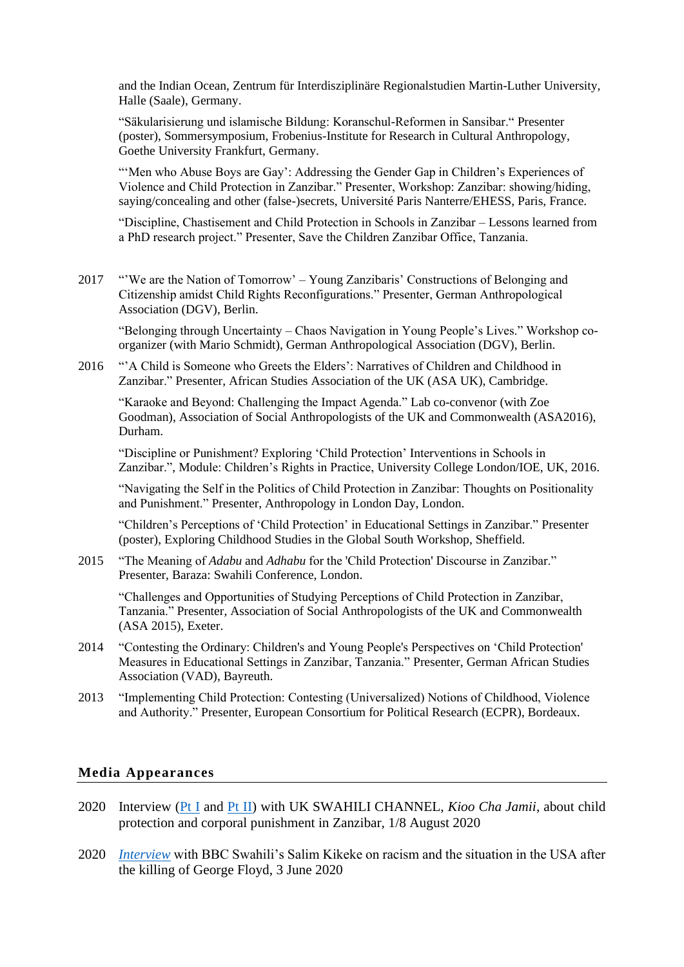and the Indian Ocean, Zentrum für Interdisziplinäre Regionalstudien Martin-Luther University, Halle (Saale), Germany.

"Säkularisierung und islamische Bildung: Koranschul-Reformen in Sansibar." Presenter (poster), Sommersymposium, Frobenius-Institute for Research in Cultural Anthropology, Goethe University Frankfurt, Germany.

"'Men who Abuse Boys are Gay': Addressing the Gender Gap in Children's Experiences of Violence and Child Protection in Zanzibar." Presenter, Workshop: Zanzibar: showing/hiding, saying/concealing and other (false-)secrets, Université Paris Nanterre/EHESS, Paris, France.

"Discipline, Chastisement and Child Protection in Schools in Zanzibar – Lessons learned from a PhD research project." Presenter, Save the Children Zanzibar Office, Tanzania.

2017 "'We are the Nation of Tomorrow' – Young Zanzibaris' Constructions of Belonging and Citizenship amidst Child Rights Reconfigurations." Presenter, German Anthropological Association (DGV), Berlin.

"Belonging through Uncertainty – Chaos Navigation in Young People's Lives." Workshop coorganizer (with Mario Schmidt), German Anthropological Association (DGV), Berlin.

2016 "'A Child is Someone who Greets the Elders': Narratives of Children and Childhood in Zanzibar." Presenter, African Studies Association of the UK (ASA UK), Cambridge.

"Karaoke and Beyond: Challenging the Impact Agenda." Lab co-convenor (with Zoe Goodman), Association of Social Anthropologists of the UK and Commonwealth (ASA2016), Durham.

"Discipline or Punishment? Exploring 'Child Protection' Interventions in Schools in Zanzibar.", Module: Children's Rights in Practice, University College London/IOE, UK, 2016.

"Navigating the Self in the Politics of Child Protection in Zanzibar: Thoughts on Positionality and Punishment." Presenter, Anthropology in London Day, London.

"Children's Perceptions of 'Child Protection' in Educational Settings in Zanzibar." Presenter (poster), Exploring Childhood Studies in the Global South Workshop, Sheffield.

2015 "The Meaning of *Adabu* and *Adhabu* for the 'Child Protection' Discourse in Zanzibar." Presenter, Baraza: Swahili Conference, London.

"Challenges and Opportunities of Studying Perceptions of Child Protection in Zanzibar, Tanzania." Presenter, Association of Social Anthropologists of the UK and Commonwealth (ASA 2015), Exeter.

- 2014 "Contesting the Ordinary: Children's and Young People's Perspectives on 'Child Protection' Measures in Educational Settings in Zanzibar, Tanzania." Presenter, German African Studies Association (VAD), Bayreuth.
- 2013 "Implementing Child Protection: Contesting (Universalized) Notions of Childhood, Violence and Authority." Presenter, European Consortium for Political Research (ECPR), Bordeaux.

## **Media Appearances**

- 2020 Interview [\(Pt I](https://youtu.be/eBBqPzZqvRs) and [Pt II\)](https://youtu.be/9HSiGIGZNyk) with UK SWAHILI CHANNEL, *Kioo Cha Jamii*, about child protection and corporal punishment in Zanzibar, 1/8 August 2020
- 2020 *[Interview](https://youtu.be/QQycG9z-KCs)* with BBC Swahili's Salim Kikeke on racism and the situation in the USA after the killing of George Floyd, 3 June 2020